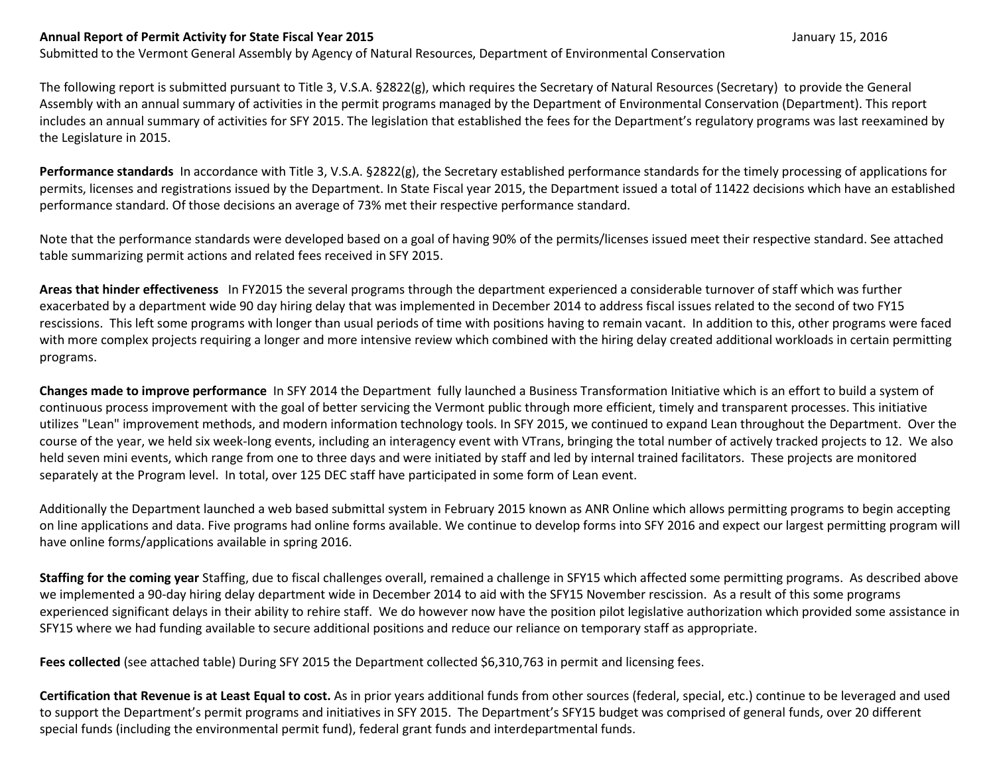## **Annual Report of Permit Activity for State Fiscal Year 2015** January 15, 2016

Submitted to the Vermont General Assembly by Agency of Natural Resources, Department of Environmental Conservation

The following report is submitted pursuant to Title 3, V.S.A. §2822(g), which requires the Secretary of Natural Resources (Secretary) to provide the General Assembly with an annual summary of activities in the permit programs managed by the Department of Environmental Conservation (Department). This report includes an annual summary of activities for SFY 2015. The legislation that established the fees for the Department's regulatory programs was last reexamined by the Legislature in 2015.

**Performance standards** In accordance with Title 3, V.S.A. §2822(g), the Secretary established performance standards for the timely processing of applications for permits, licenses and registrations issued by the Department. In State Fiscal year 2015, the Department issued a total of 11422 decisions which have an established performance standard. Of those decisions an average of 73% met their respective performance standard.

Note that the performance standards were developed based on a goal of having 90% of the permits/licenses issued meet their respective standard. See attached table summarizing permit actions and related fees received in SFY 2015.

**Areas that hinder effectiveness** In FY2015 the several programs through the department experienced a considerable turnover of staff which was further exacerbated by a department wide 90 day hiring delay that was implemented in December 2014 to address fiscal issues related to the second of two FY15 rescissions. This left some programs with longer than usual periods of time with positions having to remain vacant. In addition to this, other programs were faced with more complex projects requiring a longer and more intensive review which combined with the hiring delay created additional workloads in certain permitting programs.

**Changes made to improve performance** In SFY 2014 the Department fully launched a Business Transformation Initiative which is an effort to build a system of continuous process improvement with the goal of better servicing the Vermont public through more efficient, timely and transparent processes. This initiative utilizes "Lean" improvement methods, and modern information technology tools. In SFY 2015, we continued to expand Lean throughout the Department. Over the course of the year, we held six week-long events, including an interagency event with VTrans, bringing the total number of actively tracked projects to 12. We also held seven mini events, which range from one to three days and were initiated by staff and led by internal trained facilitators. These projects are monitored separately at the Program level. In total, over 125 DEC staff have participated in some form of Lean event.

Additionally the Department launched a web based submittal system in February 2015 known as ANR Online which allows permitting programs to begin accepting on line applications and data. Five programs had online forms available. We continue to develop forms into SFY 2016 and expect our largest permitting program will have online forms/applications available in spring 2016.

**Staffing for the coming year** Staffing, due to fiscal challenges overall, remained a challenge in SFY15 which affected some permitting programs. As described above we implemented a 90-day hiring delay department wide in December 2014 to aid with the SFY15 November rescission. As a result of this some programs experienced significant delays in their ability to rehire staff. We do however now have the position pilot legislative authorization which provided some assistance in SFY15 where we had funding available to secure additional positions and reduce our reliance on temporary staff as appropriate.

**Fees collected** (see attached table) During SFY 2015 the Department collected \$6,310,763 in permit and licensing fees.

**Certification that Revenue is at Least Equal to cost.** As in prior years additional funds from other sources (federal, special, etc.) continue to be leveraged and used to support the Department's permit programs and initiatives in SFY 2015. The Department's SFY15 budget was comprised of general funds, over 20 different special funds (including the environmental permit fund), federal grant funds and interdepartmental funds.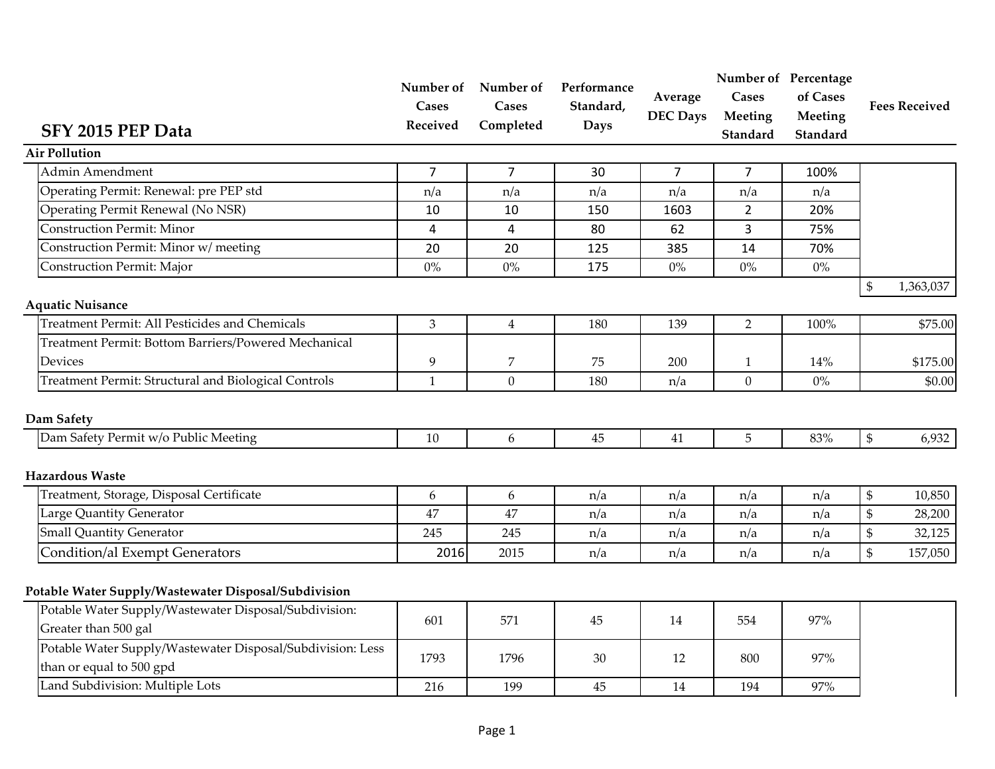| SFY 2015 PEP Data<br><b>Air Pollution</b>                                              | Cases<br>Received | Cases<br>Completed | Number of Number of Performance<br>Standard,<br><b>Days</b> | Average<br><b>DEC Days</b> | <b>Cases</b><br>Meeting<br>Standard | Number of Percentage<br>of Cases<br>Meeting<br>Standard |                                                                                                                 | <b>Fees Received</b> |
|----------------------------------------------------------------------------------------|-------------------|--------------------|-------------------------------------------------------------|----------------------------|-------------------------------------|---------------------------------------------------------|-----------------------------------------------------------------------------------------------------------------|----------------------|
| Admin Amendment                                                                        |                   | $\overline{7}$     |                                                             |                            |                                     |                                                         |                                                                                                                 |                      |
| Operating Permit: Renewal: pre PEP std                                                 | $\overline{7}$    |                    | 30                                                          | 7                          | $\overline{7}$                      | 100%                                                    |                                                                                                                 |                      |
| Operating Permit Renewal (No NSR)                                                      | n/a<br>10         | n/a<br>10          | n/a<br>150                                                  | n/a<br>1603                | n/a<br>$\overline{2}$               | n/a<br>20%                                              |                                                                                                                 |                      |
| <b>Construction Permit: Minor</b>                                                      | 4                 | $\overline{4}$     | 80                                                          | 62                         | 3                                   | 75%                                                     |                                                                                                                 |                      |
| Construction Permit: Minor w/ meeting                                                  | 20                | 20                 | 125                                                         | 385                        | 14                                  | 70%                                                     |                                                                                                                 |                      |
| <b>Construction Permit: Major</b>                                                      | $0\%$             | $0\%$              | 175                                                         | $0\%$                      | $0\%$                               | $0\%$                                                   |                                                                                                                 |                      |
|                                                                                        |                   |                    |                                                             |                            |                                     |                                                         | $\, \, \raisebox{12pt}{$\scriptstyle\circ$}$                                                                    | 1,363,037            |
| <b>Aquatic Nuisance</b>                                                                |                   |                    |                                                             |                            |                                     |                                                         |                                                                                                                 |                      |
| <b>Treatment Permit: All Pesticides and Chemicals</b>                                  | $\mathfrak{Z}$    | $\overline{4}$     | 180                                                         | 139                        | $\overline{2}$                      | 100%                                                    |                                                                                                                 | \$75.00              |
| Treatment Permit: Bottom Barriers/Powered Mechanical                                   |                   |                    |                                                             |                            |                                     |                                                         |                                                                                                                 |                      |
| Devices                                                                                | 9                 | 7                  | 75                                                          | 200                        | $\mathbf{1}$                        | 14%                                                     |                                                                                                                 | \$175.00             |
| Treatment Permit: Structural and Biological Controls                                   | $\mathbf{1}$      | $\overline{0}$     | 180                                                         | n/a                        | $\boldsymbol{0}$                    | $0\%$                                                   |                                                                                                                 | \$0.00               |
| Dam Safety                                                                             |                   |                    |                                                             |                            |                                     |                                                         |                                                                                                                 |                      |
| Dam Safety Permit w/o Public Meeting                                                   | 10                | 6                  | 45                                                          | 41                         | 5                                   | 83%                                                     | $\mathbb{S}$                                                                                                    | 6,932                |
| <b>Hazardous Waste</b>                                                                 |                   |                    |                                                             |                            |                                     |                                                         |                                                                                                                 |                      |
| Treatment, Storage, Disposal Certificate                                               | $\boldsymbol{6}$  | 6                  | n/a                                                         | n/a                        | n/a                                 | n/a                                                     | $\mathbb{S}% _{n}^{2d}(\mathbb{R}^{2d}(\mathbb{R}^{2d}))=\mathbb{S}_{n}^{2d}(\mathbb{R}^{2d}(\mathbb{R}^{2d}))$ | 10,850               |
| Large Quantity Generator                                                               | 47                | 47                 | n/a                                                         | n/a                        | n/a                                 | n/a                                                     | $\mathfrak{S}$                                                                                                  | 28,200               |
| <b>Small Quantity Generator</b>                                                        | 245               | 245                | n/a                                                         | n/a                        | n/a                                 | n/a                                                     | $\mathbb{S}$                                                                                                    | 32,125               |
| <b>Condition/al Exempt Generators</b>                                                  | 2016              | 2015               | n/a                                                         | n/a                        | n/a                                 | n/a                                                     | $\mathfrak{S}$                                                                                                  | 157,050              |
| Potable Water Supply/Wastewater Disposal/Subdivision                                   |                   |                    |                                                             |                            |                                     |                                                         |                                                                                                                 |                      |
| Potable Water Supply/Wastewater Disposal/Subdivision:<br>Greater than 500 gal          | 601               | 571                | 45                                                          | 14                         | 554                                 | 97%                                                     |                                                                                                                 |                      |
| Potable Water Supply/Wastewater Disposal/Subdivision: Less<br>than or equal to 500 gpd | 1793              | 1796               | 30                                                          | 12                         | 800                                 | 97%                                                     |                                                                                                                 |                      |
| Land Subdivision: Multiple Lots                                                        | 216               | 199                | 45                                                          | 14                         | 194                                 | 97%                                                     |                                                                                                                 |                      |
|                                                                                        |                   |                    |                                                             |                            |                                     |                                                         |                                                                                                                 |                      |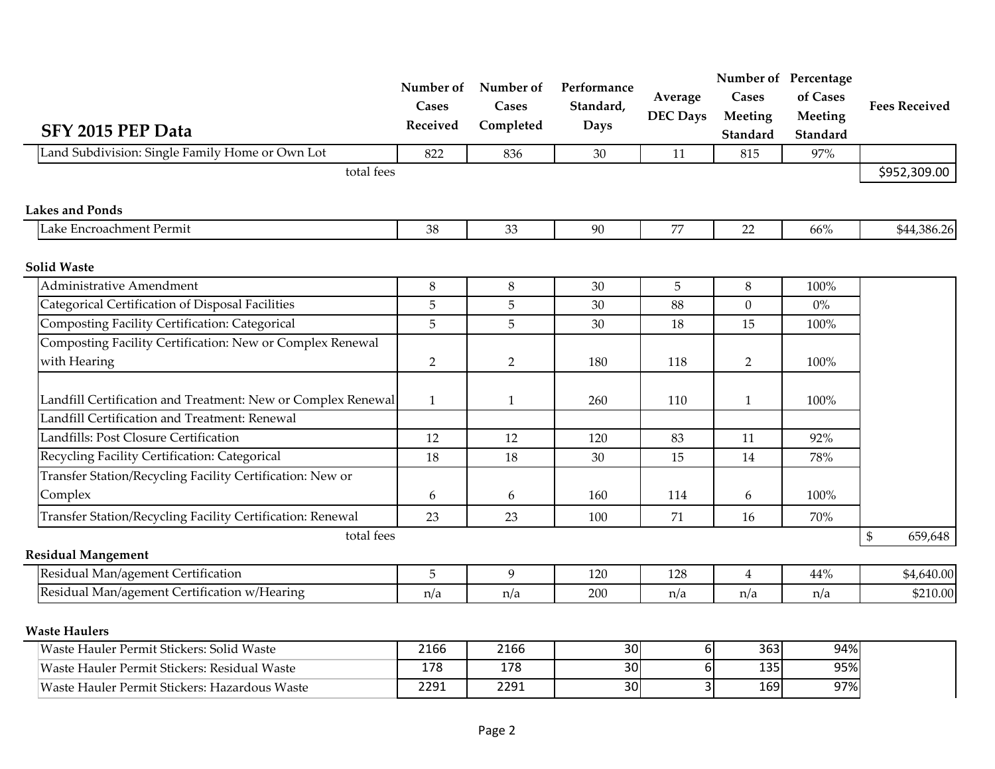| SFY 2015 PEP Data                                            | Number of<br>Cases<br>Received | Number of<br>Cases<br>Completed | Performance<br>Standard,<br><b>Days</b> | Average<br><b>DEC Days</b> | Cases<br>Meeting<br>Standard | Number of Percentage<br>of Cases<br>Meeting<br>Standard | <b>Fees Received</b>                                                                                                       |
|--------------------------------------------------------------|--------------------------------|---------------------------------|-----------------------------------------|----------------------------|------------------------------|---------------------------------------------------------|----------------------------------------------------------------------------------------------------------------------------|
| Land Subdivision: Single Family Home or Own Lot              | 822                            | 836                             | 30                                      | 11                         | 815                          | 97%                                                     |                                                                                                                            |
| total fees                                                   |                                |                                 |                                         |                            |                              |                                                         | \$952,309.00                                                                                                               |
| <b>Lakes and Ponds</b>                                       |                                |                                 |                                         |                            |                              |                                                         |                                                                                                                            |
| Lake Encroachment Permit                                     | 38                             | 33                              | 90                                      | 77                         | 22                           | 66%                                                     | \$44,386.26                                                                                                                |
| <b>Solid Waste</b>                                           |                                |                                 |                                         |                            |                              |                                                         |                                                                                                                            |
| <b>Administrative Amendment</b>                              | $\,8\,$                        | 8                               | 30                                      | 5                          | 8                            | 100%                                                    |                                                                                                                            |
| Categorical Certification of Disposal Facilities             | 5                              | 5                               | 30                                      | 88                         | $\overline{0}$               | $0\%$                                                   |                                                                                                                            |
| Composting Facility Certification: Categorical               | $\mathbf 5$                    | 5                               | 30                                      | 18                         | 15                           | 100%                                                    |                                                                                                                            |
| Composting Facility Certification: New or Complex Renewal    |                                |                                 |                                         |                            |                              |                                                         |                                                                                                                            |
| with Hearing                                                 | $\overline{2}$                 | $\overline{2}$                  | 180                                     | 118                        | $\overline{2}$               | 100%                                                    |                                                                                                                            |
| Landfill Certification and Treatment: New or Complex Renewal | $\mathbf{1}$                   | $\mathbf{1}$                    | 260                                     | 110                        | $\mathbf{1}$                 | 100%                                                    |                                                                                                                            |
| Landfill Certification and Treatment: Renewal                |                                |                                 |                                         |                            |                              |                                                         |                                                                                                                            |
| Landfills: Post Closure Certification                        | 12                             | 12                              | 120                                     | 83                         | 11                           | 92%                                                     |                                                                                                                            |
| Recycling Facility Certification: Categorical                | 18                             | 18                              | 30                                      | 15                         | 14                           | 78%                                                     |                                                                                                                            |
| Transfer Station/Recycling Facility Certification: New or    |                                |                                 |                                         |                            |                              |                                                         |                                                                                                                            |
| Complex                                                      | 6                              | 6                               | 160                                     | 114                        | 6                            | 100%                                                    |                                                                                                                            |
| Transfer Station/Recycling Facility Certification: Renewal   | 23                             | 23                              | 100                                     | 71                         | 16                           | 70%                                                     |                                                                                                                            |
| total fees                                                   |                                |                                 |                                         |                            |                              |                                                         | $\mathbb{S}% _{n}^{2d}(\mathbb{R}^{2d}(\mathbb{R}^{2d}))=\mathbb{S}_{n}^{2d}(\mathbb{R}^{2d}(\mathbb{R}^{2d}))$<br>659,648 |
| <b>Residual Mangement</b>                                    |                                |                                 |                                         |                            |                              |                                                         |                                                                                                                            |
| Residual Man/agement Certification                           | 5                              | 9                               | 120                                     | 128                        | $\overline{4}$               | 44%                                                     | \$4,640.00                                                                                                                 |
| Residual Man/agement Certification w/Hearing                 | n/a                            | n/a                             | 200                                     | n/a                        | n/a                          | n/a                                                     | \$210.00                                                                                                                   |
| <b>Waste Haulers</b>                                         |                                |                                 |                                         |                            |                              |                                                         |                                                                                                                            |
| Waste Hauler Permit Stickers: Solid Waste                    | 2166                           | 2166                            | 30                                      | $6 \mid$                   | 363                          | 94%                                                     |                                                                                                                            |
| Waste Hauler Permit Stickers: Residual Waste                 | 178                            | 178                             | 30                                      | $6 \mid$                   | 135                          | 95%                                                     |                                                                                                                            |
| Waste Hauler Permit Stickers: Hazardous Waste                | 2291                           | 2291                            | 30                                      | 3                          | 169                          | 97%                                                     |                                                                                                                            |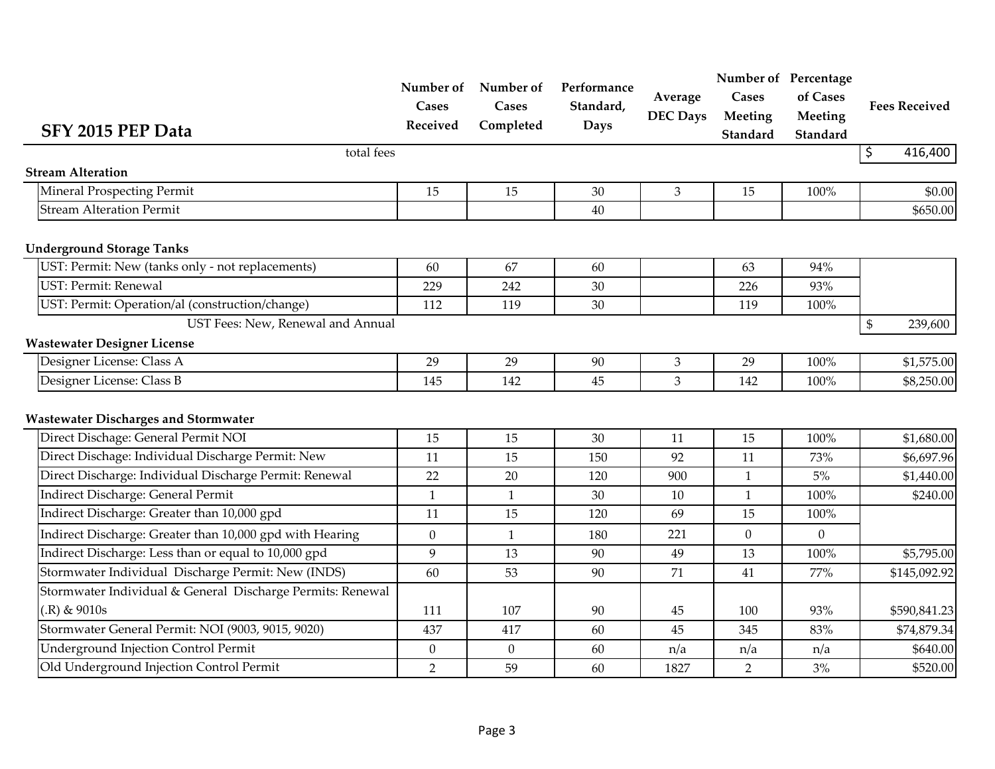| SFY 2015 PEP Data                                          | Cases<br>Received | Number of Number of<br>Cases<br>Completed | Performance<br>Standard,<br><b>Days</b> | Average<br><b>DEC Days</b> | Cases<br>Meeting<br>Standard | Number of Percentage<br>of Cases<br>Meeting<br>Standard | <b>Fees Received</b>                |
|------------------------------------------------------------|-------------------|-------------------------------------------|-----------------------------------------|----------------------------|------------------------------|---------------------------------------------------------|-------------------------------------|
| total fees                                                 |                   |                                           |                                         |                            |                              |                                                         | $\overline{\mathcal{S}}$<br>416,400 |
| <b>Stream Alteration</b>                                   |                   |                                           |                                         |                            |                              |                                                         |                                     |
| Mineral Prospecting Permit                                 | 15                | 15                                        | 30                                      | 3                          | 15                           | 100%                                                    | \$0.00                              |
| <b>Stream Alteration Permit</b>                            |                   |                                           | 40                                      |                            |                              |                                                         | \$650.00                            |
| <b>Underground Storage Tanks</b>                           |                   |                                           |                                         |                            |                              |                                                         |                                     |
| UST: Permit: New (tanks only - not replacements)           | 60                | 67                                        | 60                                      |                            | 63                           | 94%                                                     |                                     |
| UST: Permit: Renewal                                       | 229               | 242                                       | 30                                      |                            | 226                          | 93%                                                     |                                     |
| UST: Permit: Operation/al (construction/change)            | 112               | 119                                       | 30                                      |                            | 119                          | 100%                                                    |                                     |
| UST Fees: New, Renewal and Annual                          |                   |                                           |                                         |                            |                              |                                                         | $\frac{1}{2}$<br>239,600            |
| <b>Wastewater Designer License</b>                         |                   |                                           |                                         |                            |                              |                                                         |                                     |
| Designer License: Class A                                  | 29                | 29                                        | 90                                      | 3                          | 29                           | 100%                                                    | \$1,575.00                          |
| Designer License: Class B                                  | 145               | 142                                       | 45                                      | 3                          | 142                          | 100%                                                    | \$8,250.00                          |
| <b>Wastewater Discharges and Stormwater</b>                |                   |                                           |                                         |                            |                              |                                                         |                                     |
| Direct Dischage: General Permit NOI                        | 15                | 15                                        | 30                                      | 11                         | 15                           | 100%                                                    | \$1,680.00                          |
| Direct Dischage: Individual Discharge Permit: New          | 11                | 15                                        | 150                                     | 92                         | 11                           | 73%                                                     | \$6,697.96                          |
| Direct Discharge: Individual Discharge Permit: Renewal     | 22                | 20                                        | 120                                     | 900                        | $\mathbf{1}$                 | $5\%$                                                   | \$1,440.00                          |
| Indirect Discharge: General Permit                         | $\mathbf{1}$      | $\mathbf{1}$                              | 30                                      | 10                         | $\mathbf{1}$                 | 100%                                                    | \$240.00                            |
| Indirect Discharge: Greater than 10,000 gpd                | 11                | 15                                        | 120                                     | 69                         | 15                           | 100%                                                    |                                     |
| Indirect Discharge: Greater than 10,000 gpd with Hearing   | $\boldsymbol{0}$  | $\mathbf{1}$                              | 180                                     | 221                        | $\mathbf{0}$                 | $\boldsymbol{0}$                                        |                                     |
| Indirect Discharge: Less than or equal to 10,000 gpd       | 9                 | 13                                        | 90                                      | 49                         | 13                           | 100%                                                    | \$5,795.00                          |
| Stormwater Individual Discharge Permit: New (INDS)         | 60                | 53                                        | 90                                      | 71                         | 41                           | 77%                                                     | \$145,092.92                        |
| Stormwater Individual & General Discharge Permits: Renewal |                   |                                           |                                         |                            |                              |                                                         |                                     |
| $(R)$ & 9010s                                              | 111               | 107                                       | 90                                      | 45                         | 100                          | 93%                                                     | \$590,841.23                        |
| Stormwater General Permit: NOI (9003, 9015, 9020)          | 437               | 417                                       | 60                                      | 45                         | 345                          | 83%                                                     | \$74,879.34                         |
| <b>Underground Injection Control Permit</b>                | $\mathbf{0}$      | $\overline{0}$                            | 60                                      | n/a                        | n/a                          | n/a                                                     | \$640.00                            |
| Old Underground Injection Control Permit                   | $\overline{2}$    | 59                                        | 60                                      | 1827                       | $\overline{2}$               | 3%                                                      | \$520.00                            |